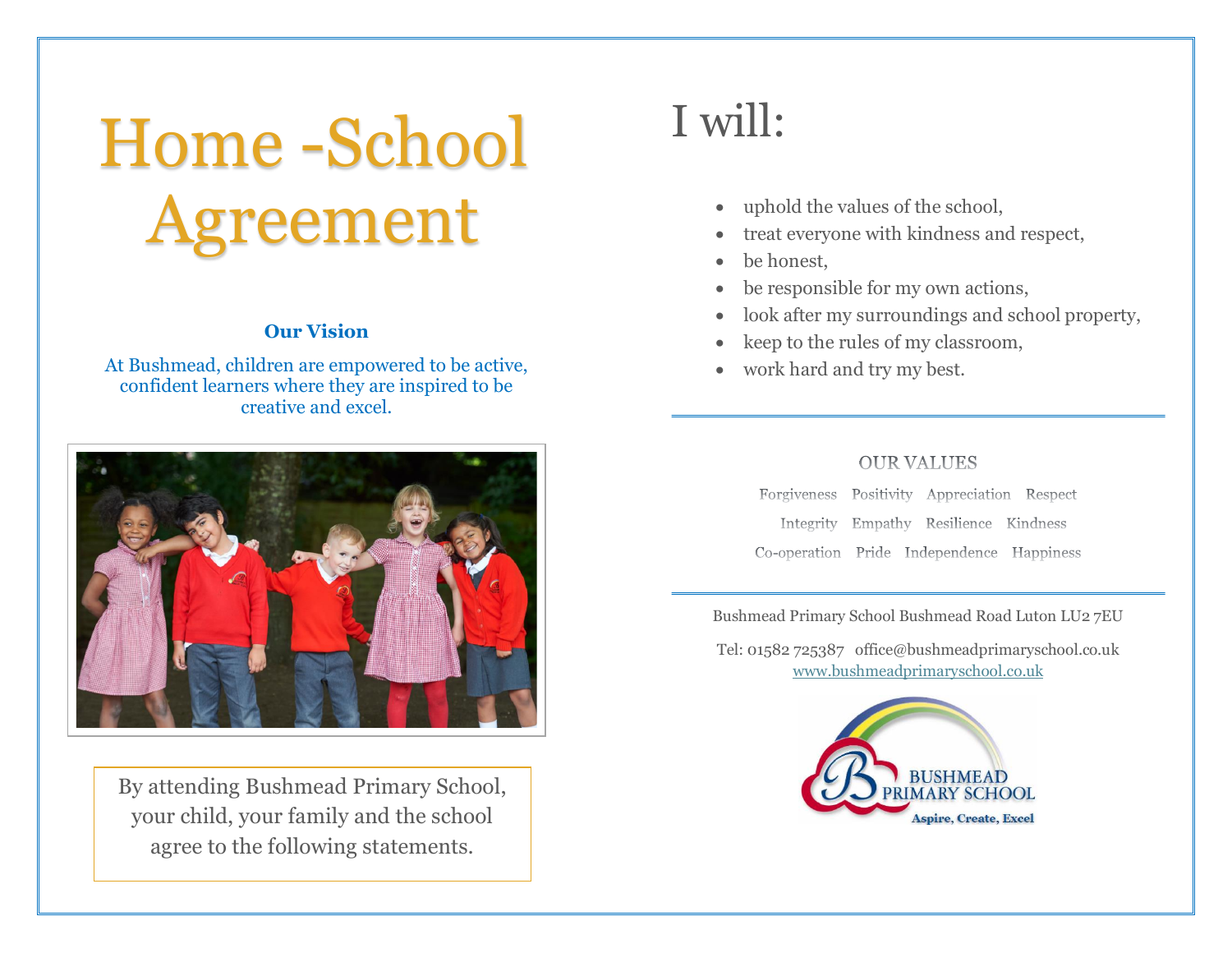# Home -School Agreement

#### **Our Vision**

At Bushmead, children are empowered to be active, confident learners where they are inspired to be creative and excel.



By attending Bushmead Primary School, your child, your family and the school agree to the following statements.

### I will:

- uphold the values of the school,
- treat everyone with kindness and respect,
- be honest.
- be responsible for my own actions,
- look after my surroundings and school property,
- keep to the rules of my classroom,
- work hard and try my best.

#### **OUR VALUES**

Forgiveness Positivity Appreciation Respect Integrity Empathy Resilience Kindness Co-operation Pride Independence Happiness

Bushmead Primary School Bushmead Road Luton LU2 7EU

Tel: 01582 725387 office@bushmeadprimaryschool.co.uk [www.bushmeadprimaryschool.co.uk](http://www.bushmeadprimaryschool.co.uk/)